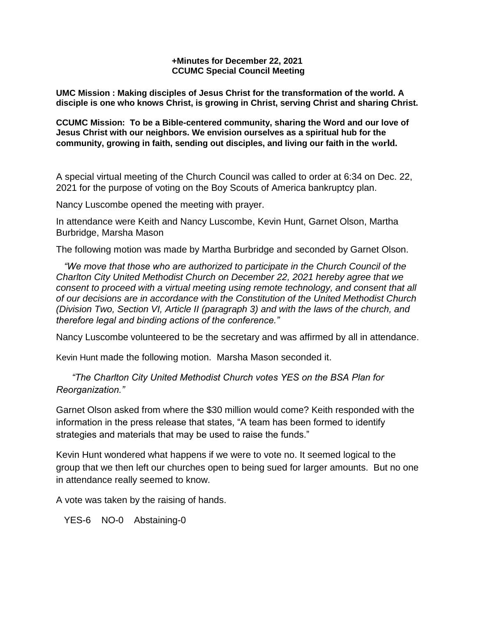## **+Minutes for December 22, 2021 CCUMC Special Council Meeting**

**UMC Mission : Making disciples of Jesus Christ for the transformation of the world. A disciple is one who knows Christ, is growing in Christ, serving Christ and sharing Christ.**

**CCUMC Mission: To be a Bible-centered community, sharing the Word and our love of Jesus Christ with our neighbors. We envision ourselves as a spiritual hub for the community, growing in faith, sending out disciples, and living our faith in the world.**

A special virtual meeting of the Church Council was called to order at 6:34 on Dec. 22, 2021 for the purpose of voting on the Boy Scouts of America bankruptcy plan.

Nancy Luscombe opened the meeting with prayer.

In attendance were Keith and Nancy Luscombe, Kevin Hunt, Garnet Olson, Martha Burbridge, Marsha Mason

The following motion was made by Martha Burbridge and seconded by Garnet Olson.

 *"We move that those who are authorized to participate in the Church Council of the Charlton City United Methodist Church on December 22, 2021 hereby agree that we consent to proceed with a virtual meeting using remote technology, and consent that all of our decisions are in accordance with the Constitution of the United Methodist Church (Division Two, Section VI, Article II (paragraph 3) and with the laws of the church, and therefore legal and binding actions of the conference."*

Nancy Luscombe volunteered to be the secretary and was affirmed by all in attendance.

Kevin Hunt made the following motion. Marsha Mason seconded it.

 *"The Charlton City United Methodist Church votes YES on the BSA Plan for Reorganization."*

Garnet Olson asked from where the \$30 million would come? Keith responded with the information in the press release that states, "A team has been formed to identify strategies and materials that may be used to raise the funds."

Kevin Hunt wondered what happens if we were to vote no. It seemed logical to the group that we then left our churches open to being sued for larger amounts. But no one in attendance really seemed to know.

A vote was taken by the raising of hands.

YES-6 NO-0 Abstaining-0